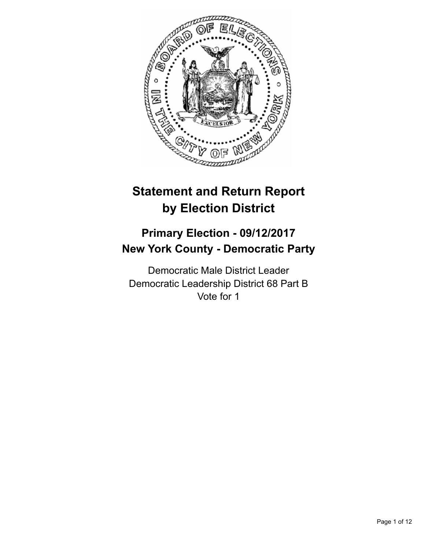

# **Statement and Return Report by Election District**

## **Primary Election - 09/12/2017 New York County - Democratic Party**

Democratic Male District Leader Democratic Leadership District 68 Part B Vote for 1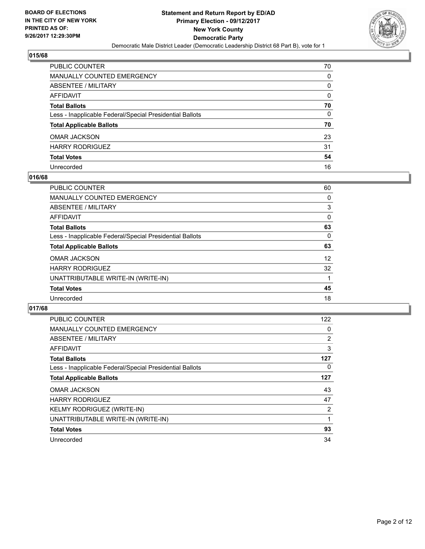

| PUBLIC COUNTER                                           | 70 |
|----------------------------------------------------------|----|
| <b>MANUALLY COUNTED EMERGENCY</b>                        | 0  |
| ABSENTEE / MILITARY                                      | 0  |
| <b>AFFIDAVIT</b>                                         | 0  |
| <b>Total Ballots</b>                                     | 70 |
| Less - Inapplicable Federal/Special Presidential Ballots | 0  |
| <b>Total Applicable Ballots</b>                          | 70 |
| <b>OMAR JACKSON</b>                                      | 23 |
| <b>HARRY RODRIGUEZ</b>                                   | 31 |
| <b>Total Votes</b>                                       | 54 |
| Unrecorded                                               | 16 |

#### **016/68**

| <b>PUBLIC COUNTER</b>                                    | 60 |
|----------------------------------------------------------|----|
| <b>MANUALLY COUNTED EMERGENCY</b>                        | 0  |
| ABSENTEE / MILITARY                                      | 3  |
| AFFIDAVIT                                                | 0  |
| <b>Total Ballots</b>                                     | 63 |
| Less - Inapplicable Federal/Special Presidential Ballots | 0  |
| <b>Total Applicable Ballots</b>                          | 63 |
| <b>OMAR JACKSON</b>                                      | 12 |
| <b>HARRY RODRIGUEZ</b>                                   | 32 |
| UNATTRIBUTABLE WRITE-IN (WRITE-IN)                       |    |
| <b>Total Votes</b>                                       | 45 |
| Unrecorded                                               | 18 |

| <b>PUBLIC COUNTER</b>                                    | 122            |
|----------------------------------------------------------|----------------|
| <b>MANUALLY COUNTED EMERGENCY</b>                        | 0              |
| ABSENTEE / MILITARY                                      | $\overline{2}$ |
| AFFIDAVIT                                                | 3              |
| <b>Total Ballots</b>                                     | 127            |
| Less - Inapplicable Federal/Special Presidential Ballots | 0              |
| <b>Total Applicable Ballots</b>                          | 127            |
| <b>OMAR JACKSON</b>                                      | 43             |
| <b>HARRY RODRIGUEZ</b>                                   | 47             |
| KELMY RODRIGUEZ (WRITE-IN)                               | 2              |
| UNATTRIBUTABLE WRITE-IN (WRITE-IN)                       | 1              |
| <b>Total Votes</b>                                       | 93             |
| Unrecorded                                               | 34             |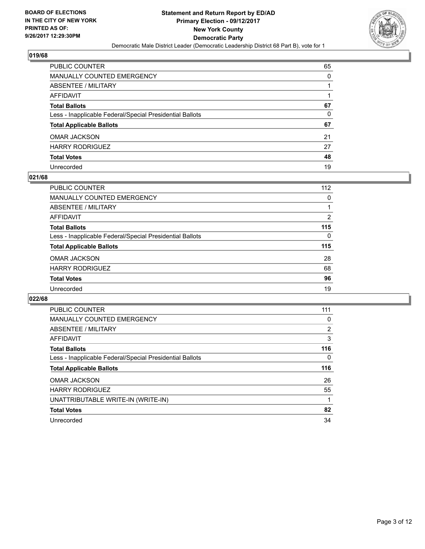

| PUBLIC COUNTER                                           | 65 |
|----------------------------------------------------------|----|
| <b>MANUALLY COUNTED EMERGENCY</b>                        | 0  |
| ABSENTEE / MILITARY                                      |    |
| AFFIDAVIT                                                |    |
| <b>Total Ballots</b>                                     | 67 |
| Less - Inapplicable Federal/Special Presidential Ballots | 0  |
| <b>Total Applicable Ballots</b>                          | 67 |
| <b>OMAR JACKSON</b>                                      | 21 |
| <b>HARRY RODRIGUEZ</b>                                   | 27 |
| <b>Total Votes</b>                                       | 48 |
| Unrecorded                                               | 19 |

#### **021/68**

| PUBLIC COUNTER                                           | 112 |
|----------------------------------------------------------|-----|
| <b>MANUALLY COUNTED EMERGENCY</b>                        | 0   |
| ABSENTEE / MILITARY                                      |     |
| AFFIDAVIT                                                | 2   |
| <b>Total Ballots</b>                                     | 115 |
| Less - Inapplicable Federal/Special Presidential Ballots | 0   |
| <b>Total Applicable Ballots</b>                          | 115 |
| <b>OMAR JACKSON</b>                                      | 28  |
| <b>HARRY RODRIGUEZ</b>                                   | 68  |
| <b>Total Votes</b>                                       | 96  |
| Unrecorded                                               | 19  |

| <b>PUBLIC COUNTER</b>                                    | 111 |
|----------------------------------------------------------|-----|
| <b>MANUALLY COUNTED EMERGENCY</b>                        | 0   |
| <b>ABSENTEE / MILITARY</b>                               | 2   |
| <b>AFFIDAVIT</b>                                         | 3   |
| <b>Total Ballots</b>                                     | 116 |
| Less - Inapplicable Federal/Special Presidential Ballots | 0   |
| <b>Total Applicable Ballots</b>                          | 116 |
| <b>OMAR JACKSON</b>                                      | 26  |
| <b>HARRY RODRIGUEZ</b>                                   | 55  |
| UNATTRIBUTABLE WRITE-IN (WRITE-IN)                       |     |
| <b>Total Votes</b>                                       | 82  |
|                                                          |     |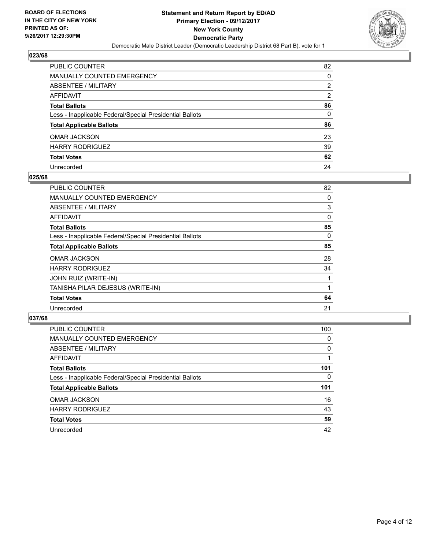

| PUBLIC COUNTER                                           | 82 |
|----------------------------------------------------------|----|
| MANUALLY COUNTED EMERGENCY                               | 0  |
| ABSENTEE / MILITARY                                      | 2  |
| AFFIDAVIT                                                | 2  |
| Total Ballots                                            | 86 |
| Less - Inapplicable Federal/Special Presidential Ballots | 0  |
| <b>Total Applicable Ballots</b>                          | 86 |
| OMAR JACKSON                                             | 23 |
| HARRY RODRIGUEZ                                          | 39 |
| <b>Total Votes</b>                                       | 62 |
| Unrecorded                                               | 24 |

#### **025/68**

| <b>PUBLIC COUNTER</b>                                    | 82 |
|----------------------------------------------------------|----|
| <b>MANUALLY COUNTED EMERGENCY</b>                        | 0  |
| ABSENTEE / MILITARY                                      | 3  |
| AFFIDAVIT                                                | 0  |
| <b>Total Ballots</b>                                     | 85 |
| Less - Inapplicable Federal/Special Presidential Ballots | 0  |
| <b>Total Applicable Ballots</b>                          | 85 |
| <b>OMAR JACKSON</b>                                      | 28 |
| <b>HARRY RODRIGUEZ</b>                                   | 34 |
| <b>JOHN RUIZ (WRITE-IN)</b>                              |    |
| TANISHA PILAR DEJESUS (WRITE-IN)                         |    |
| <b>Total Votes</b>                                       | 64 |
| Unrecorded                                               | 21 |

| <b>PUBLIC COUNTER</b>                                    | 100 |
|----------------------------------------------------------|-----|
| MANUALLY COUNTED EMERGENCY                               | 0   |
| ABSENTEE / MILITARY                                      | 0   |
| AFFIDAVIT                                                |     |
| <b>Total Ballots</b>                                     | 101 |
| Less - Inapplicable Federal/Special Presidential Ballots | 0   |
| <b>Total Applicable Ballots</b>                          | 101 |
| <b>OMAR JACKSON</b>                                      | 16  |
| <b>HARRY RODRIGUEZ</b>                                   | 43  |
| <b>Total Votes</b>                                       | 59  |
| Unrecorded                                               | 42  |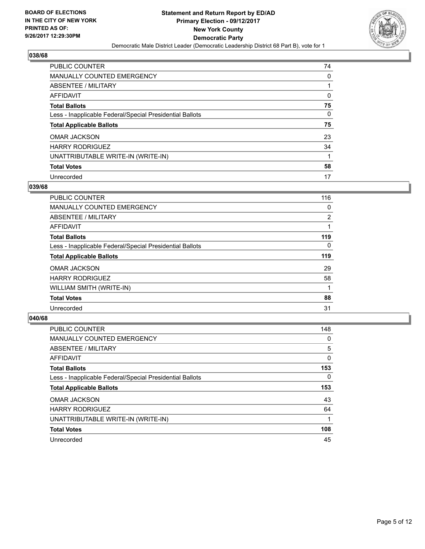

| PUBLIC COUNTER                                           | 74 |
|----------------------------------------------------------|----|
| <b>MANUALLY COUNTED EMERGENCY</b>                        | 0  |
| ABSENTEE / MILITARY                                      |    |
| AFFIDAVIT                                                | 0  |
| <b>Total Ballots</b>                                     | 75 |
| Less - Inapplicable Federal/Special Presidential Ballots | 0  |
| <b>Total Applicable Ballots</b>                          | 75 |
| <b>OMAR JACKSON</b>                                      | 23 |
| <b>HARRY RODRIGUEZ</b>                                   | 34 |
| UNATTRIBUTABLE WRITE-IN (WRITE-IN)                       |    |
| <b>Total Votes</b>                                       | 58 |
| Unrecorded                                               | 17 |

#### **039/68**

| PUBLIC COUNTER                                           | 116      |
|----------------------------------------------------------|----------|
| <b>MANUALLY COUNTED EMERGENCY</b>                        | 0        |
| ABSENTEE / MILITARY                                      | 2        |
| <b>AFFIDAVIT</b>                                         |          |
| <b>Total Ballots</b>                                     | 119      |
| Less - Inapplicable Federal/Special Presidential Ballots | $\Omega$ |
| <b>Total Applicable Ballots</b>                          | 119      |
| <b>OMAR JACKSON</b>                                      | 29       |
| <b>HARRY RODRIGUEZ</b>                                   | 58       |
| WILLIAM SMITH (WRITE-IN)                                 |          |
| <b>Total Votes</b>                                       | 88       |
| Unrecorded                                               | 31       |

| <b>PUBLIC COUNTER</b>                                    | 148 |
|----------------------------------------------------------|-----|
| MANUALLY COUNTED EMERGENCY                               | 0   |
| ABSENTEE / MILITARY                                      | 5   |
| <b>AFFIDAVIT</b>                                         | 0   |
| <b>Total Ballots</b>                                     | 153 |
| Less - Inapplicable Federal/Special Presidential Ballots | 0   |
| <b>Total Applicable Ballots</b>                          | 153 |
| <b>OMAR JACKSON</b>                                      | 43  |
| <b>HARRY RODRIGUEZ</b>                                   | 64  |
| UNATTRIBUTABLE WRITE-IN (WRITE-IN)                       |     |
| <b>Total Votes</b>                                       | 108 |
|                                                          |     |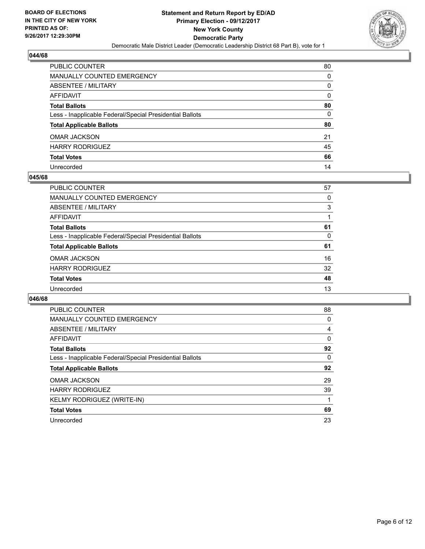

| PUBLIC COUNTER                                           | 80 |
|----------------------------------------------------------|----|
| MANUALLY COUNTED EMERGENCY                               | 0  |
| ABSENTEE / MILITARY                                      | 0  |
| AFFIDAVIT                                                | 0  |
| <b>Total Ballots</b>                                     | 80 |
| Less - Inapplicable Federal/Special Presidential Ballots | 0  |
| <b>Total Applicable Ballots</b>                          | 80 |
| OMAR JACKSON                                             | 21 |
| HARRY RODRIGUEZ                                          | 45 |
| <b>Total Votes</b>                                       | 66 |
| Unrecorded                                               | 14 |

#### **045/68**

| PUBLIC COUNTER                                           | 57 |
|----------------------------------------------------------|----|
| <b>MANUALLY COUNTED EMERGENCY</b>                        | 0  |
| ABSENTEE / MILITARY                                      | 3  |
| AFFIDAVIT                                                |    |
| <b>Total Ballots</b>                                     | 61 |
| Less - Inapplicable Federal/Special Presidential Ballots | 0  |
| <b>Total Applicable Ballots</b>                          | 61 |
| <b>OMAR JACKSON</b>                                      | 16 |
| <b>HARRY RODRIGUEZ</b>                                   | 32 |
| <b>Total Votes</b>                                       | 48 |
| Unrecorded                                               | 13 |

| PUBLIC COUNTER                                           | 88 |
|----------------------------------------------------------|----|
| <b>MANUALLY COUNTED EMERGENCY</b>                        | 0  |
| <b>ABSENTEE / MILITARY</b>                               | 4  |
| <b>AFFIDAVIT</b>                                         | 0  |
| <b>Total Ballots</b>                                     | 92 |
| Less - Inapplicable Federal/Special Presidential Ballots | 0  |
| <b>Total Applicable Ballots</b>                          | 92 |
| <b>OMAR JACKSON</b>                                      | 29 |
| <b>HARRY RODRIGUEZ</b>                                   | 39 |
| <b>KELMY RODRIGUEZ (WRITE-IN)</b>                        |    |
| <b>Total Votes</b>                                       | 69 |
| Unrecorded                                               | 23 |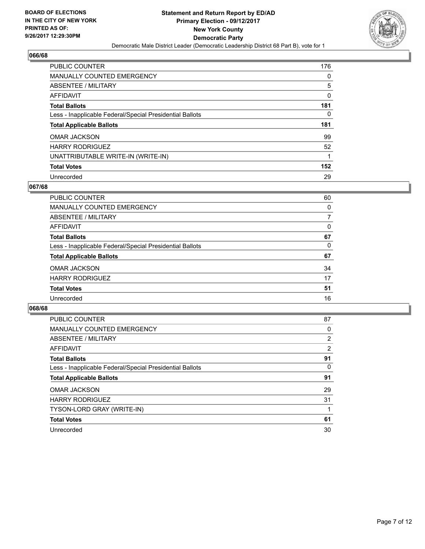

| <b>PUBLIC COUNTER</b>                                    | 176 |
|----------------------------------------------------------|-----|
| <b>MANUALLY COUNTED EMERGENCY</b>                        | 0   |
| ABSENTEE / MILITARY                                      | 5   |
| AFFIDAVIT                                                | 0   |
| <b>Total Ballots</b>                                     | 181 |
| Less - Inapplicable Federal/Special Presidential Ballots | 0   |
| <b>Total Applicable Ballots</b>                          | 181 |
| <b>OMAR JACKSON</b>                                      | 99  |
| <b>HARRY RODRIGUEZ</b>                                   | 52  |
| UNATTRIBUTABLE WRITE-IN (WRITE-IN)                       |     |
| <b>Total Votes</b>                                       | 152 |
| Unrecorded                                               | 29  |

#### **067/68**

| <b>PUBLIC COUNTER</b>                                    | 60 |
|----------------------------------------------------------|----|
| MANUALLY COUNTED EMERGENCY                               | 0  |
| ABSENTEE / MILITARY                                      |    |
| <b>AFFIDAVIT</b>                                         | 0  |
| <b>Total Ballots</b>                                     | 67 |
| Less - Inapplicable Federal/Special Presidential Ballots | 0  |
| <b>Total Applicable Ballots</b>                          | 67 |
| <b>OMAR JACKSON</b>                                      | 34 |
| <b>HARRY RODRIGUEZ</b>                                   | 17 |
| <b>Total Votes</b>                                       | 51 |
| Unrecorded                                               | 16 |

| <b>PUBLIC COUNTER</b>                                    | 87             |
|----------------------------------------------------------|----------------|
| <b>MANUALLY COUNTED EMERGENCY</b>                        | 0              |
| ABSENTEE / MILITARY                                      | $\overline{2}$ |
| AFFIDAVIT                                                | $\overline{2}$ |
| <b>Total Ballots</b>                                     | 91             |
| Less - Inapplicable Federal/Special Presidential Ballots | 0              |
| <b>Total Applicable Ballots</b>                          | 91             |
| <b>OMAR JACKSON</b>                                      | 29             |
| <b>HARRY RODRIGUEZ</b>                                   | 31             |
| TYSON-LORD GRAY (WRITE-IN)                               |                |
| <b>Total Votes</b>                                       | 61             |
| Unrecorded                                               | 30             |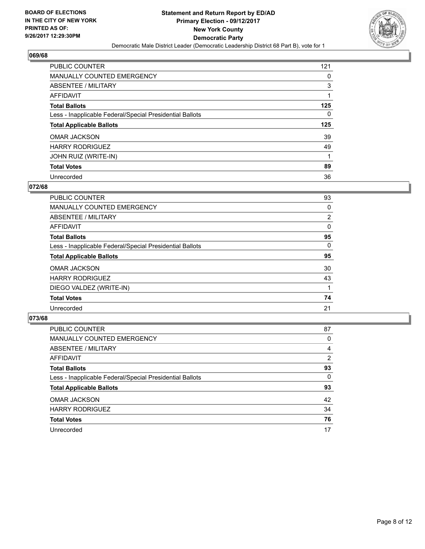

| PUBLIC COUNTER                                           | 121 |
|----------------------------------------------------------|-----|
| <b>MANUALLY COUNTED EMERGENCY</b>                        | 0   |
| ABSENTEE / MILITARY                                      | 3   |
| AFFIDAVIT                                                |     |
| <b>Total Ballots</b>                                     | 125 |
| Less - Inapplicable Federal/Special Presidential Ballots | 0   |
| <b>Total Applicable Ballots</b>                          | 125 |
|                                                          |     |
| <b>OMAR JACKSON</b>                                      | 39  |
| <b>HARRY RODRIGUEZ</b>                                   | 49  |
| JOHN RUIZ (WRITE-IN)                                     |     |
| <b>Total Votes</b>                                       | 89  |

#### **072/68**

| PUBLIC COUNTER                                           | 93       |
|----------------------------------------------------------|----------|
| <b>MANUALLY COUNTED EMERGENCY</b>                        | 0        |
| ABSENTEE / MILITARY                                      | 2        |
| <b>AFFIDAVIT</b>                                         | 0        |
| <b>Total Ballots</b>                                     | 95       |
| Less - Inapplicable Federal/Special Presidential Ballots | $\Omega$ |
| <b>Total Applicable Ballots</b>                          | 95       |
| <b>OMAR JACKSON</b>                                      | 30       |
| <b>HARRY RODRIGUEZ</b>                                   | 43       |
| DIEGO VALDEZ (WRITE-IN)                                  |          |
| <b>Total Votes</b>                                       | 74       |
| Unrecorded                                               | 21       |

| PUBLIC COUNTER                                           | 87 |
|----------------------------------------------------------|----|
| <b>MANUALLY COUNTED EMERGENCY</b>                        | 0  |
| ABSENTEE / MILITARY                                      | 4  |
| AFFIDAVIT                                                | 2  |
| <b>Total Ballots</b>                                     | 93 |
| Less - Inapplicable Federal/Special Presidential Ballots | 0  |
| <b>Total Applicable Ballots</b>                          | 93 |
| <b>OMAR JACKSON</b>                                      | 42 |
| <b>HARRY RODRIGUEZ</b>                                   | 34 |
| <b>Total Votes</b>                                       | 76 |
| Unrecorded                                               | 17 |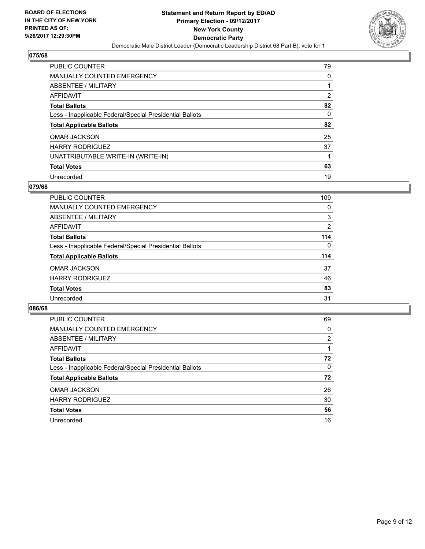

| <b>PUBLIC COUNTER</b>                                    | 79 |
|----------------------------------------------------------|----|
| <b>MANUALLY COUNTED EMERGENCY</b>                        | 0  |
| ABSENTEE / MILITARY                                      |    |
| AFFIDAVIT                                                | 2  |
| <b>Total Ballots</b>                                     | 82 |
| Less - Inapplicable Federal/Special Presidential Ballots | 0  |
| <b>Total Applicable Ballots</b>                          | 82 |
| <b>OMAR JACKSON</b>                                      | 25 |
| <b>HARRY RODRIGUEZ</b>                                   | 37 |
| UNATTRIBUTABLE WRITE-IN (WRITE-IN)                       |    |
| <b>Total Votes</b>                                       | 63 |
| Unrecorded                                               | 19 |

#### **079/68**

| <b>PUBLIC COUNTER</b>                                    | 109 |
|----------------------------------------------------------|-----|
| <b>MANUALLY COUNTED EMERGENCY</b>                        | 0   |
| ABSENTEE / MILITARY                                      | 3   |
| AFFIDAVIT                                                | 2   |
| <b>Total Ballots</b>                                     | 114 |
| Less - Inapplicable Federal/Special Presidential Ballots | 0   |
| <b>Total Applicable Ballots</b>                          | 114 |
| <b>OMAR JACKSON</b>                                      | 37  |
| <b>HARRY RODRIGUEZ</b>                                   | 46  |
| <b>Total Votes</b>                                       | 83  |
| Unrecorded                                               | 31  |

| <b>PUBLIC COUNTER</b>                                    | 69 |
|----------------------------------------------------------|----|
| <b>MANUALLY COUNTED EMERGENCY</b>                        | 0  |
| ABSENTEE / MILITARY                                      | 2  |
| AFFIDAVIT                                                |    |
| <b>Total Ballots</b>                                     | 72 |
| Less - Inapplicable Federal/Special Presidential Ballots | 0  |
| <b>Total Applicable Ballots</b>                          | 72 |
| <b>OMAR JACKSON</b>                                      | 26 |
| <b>HARRY RODRIGUEZ</b>                                   | 30 |
| <b>Total Votes</b>                                       | 56 |
| Unrecorded                                               | 16 |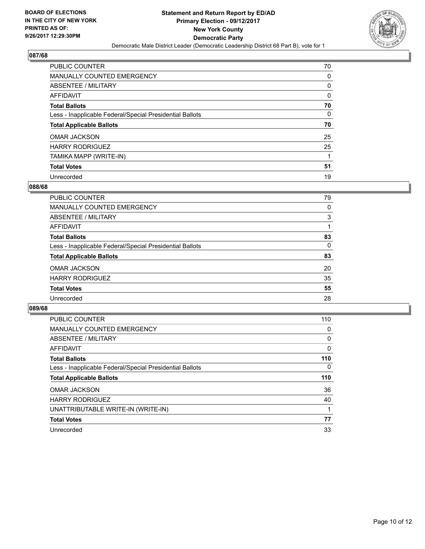

| PUBLIC COUNTER                                           | 70 |
|----------------------------------------------------------|----|
| <b>MANUALLY COUNTED EMERGENCY</b>                        | 0  |
| ABSENTEE / MILITARY                                      | 0  |
| AFFIDAVIT                                                | 0  |
| <b>Total Ballots</b>                                     | 70 |
| Less - Inapplicable Federal/Special Presidential Ballots | 0  |
| <b>Total Applicable Ballots</b>                          | 70 |
| <b>OMAR JACKSON</b>                                      | 25 |
| <b>HARRY RODRIGUEZ</b>                                   | 25 |
| TAMIKA MAPP (WRITE-IN)                                   |    |
| <b>Total Votes</b>                                       | 51 |
| Unrecorded                                               | 19 |

#### **088/68**

| <b>PUBLIC COUNTER</b>                                    | 79 |
|----------------------------------------------------------|----|
| MANUALLY COUNTED EMERGENCY                               | 0  |
| ABSENTEE / MILITARY                                      | 3  |
| <b>AFFIDAVIT</b>                                         |    |
| <b>Total Ballots</b>                                     | 83 |
| Less - Inapplicable Federal/Special Presidential Ballots | 0  |
| <b>Total Applicable Ballots</b>                          | 83 |
| <b>OMAR JACKSON</b>                                      | 20 |
| <b>HARRY RODRIGUEZ</b>                                   | 35 |
| <b>Total Votes</b>                                       | 55 |
| Unrecorded                                               | 28 |

| <b>PUBLIC COUNTER</b>                                    | 110 |
|----------------------------------------------------------|-----|
| <b>MANUALLY COUNTED EMERGENCY</b>                        | 0   |
| ABSENTEE / MILITARY                                      | 0   |
| AFFIDAVIT                                                | 0   |
| <b>Total Ballots</b>                                     | 110 |
| Less - Inapplicable Federal/Special Presidential Ballots | 0   |
| <b>Total Applicable Ballots</b>                          | 110 |
| <b>OMAR JACKSON</b>                                      | 36  |
| <b>HARRY RODRIGUEZ</b>                                   | 40  |
| UNATTRIBUTABLE WRITE-IN (WRITE-IN)                       |     |
| <b>Total Votes</b>                                       | 77  |
| Unrecorded                                               | 33  |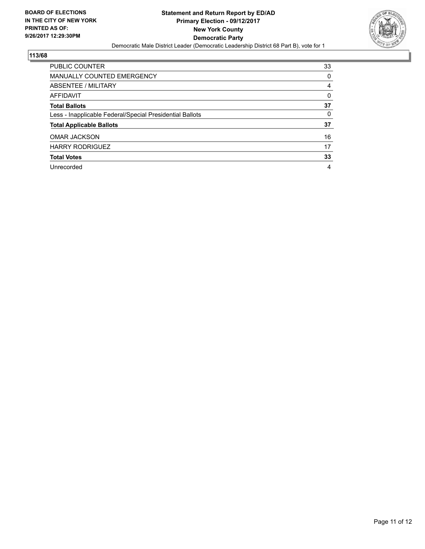

| <b>PUBLIC COUNTER</b>                                    | 33 |
|----------------------------------------------------------|----|
| <b>MANUALLY COUNTED EMERGENCY</b>                        | 0  |
| ABSENTEE / MILITARY                                      | 4  |
| AFFIDAVIT                                                | 0  |
| <b>Total Ballots</b>                                     | 37 |
| Less - Inapplicable Federal/Special Presidential Ballots | 0  |
| <b>Total Applicable Ballots</b>                          | 37 |
| <b>OMAR JACKSON</b>                                      | 16 |
| <b>HARRY RODRIGUEZ</b>                                   | 17 |
| <b>Total Votes</b>                                       | 33 |
| Unrecorded                                               | 4  |